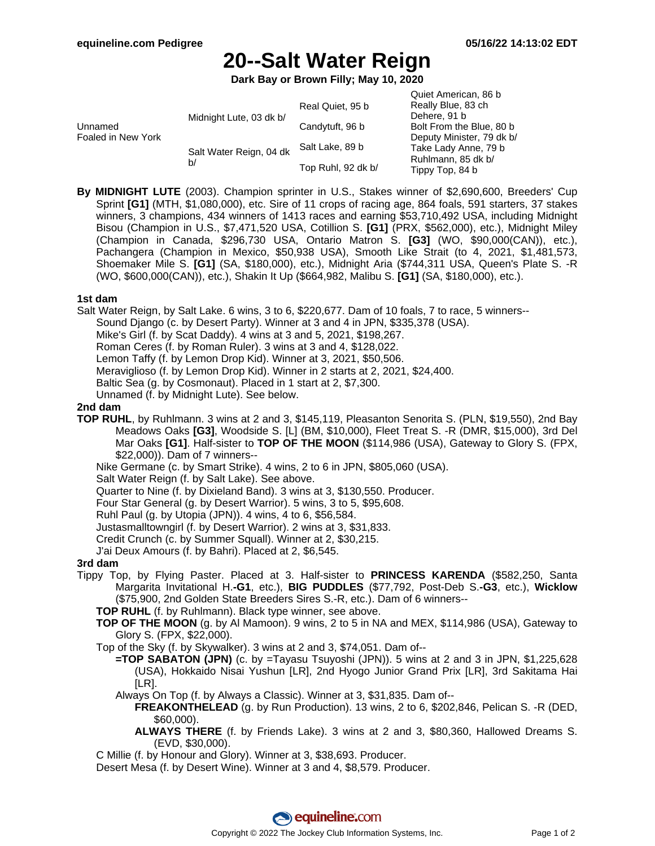Quiet American, 86 b

# **20--Salt Water Reign**

**Dark Bay or Brown Filly; May 10, 2020**

|                               |                               |                    | QUIEL AILIEILLAIL, OU D   |
|-------------------------------|-------------------------------|--------------------|---------------------------|
| Unnamed<br>Foaled in New York | Midnight Lute, 03 dk b/       | Real Quiet, 95 b   | Really Blue, 83 ch        |
|                               |                               |                    | Dehere, 91 b              |
|                               |                               | Candytuft, 96 b    | Bolt From the Blue, 80 b  |
|                               | Salt Water Reign, 04 dk<br>b/ | Salt Lake, 89 b    | Deputy Minister, 79 dk b/ |
|                               |                               |                    | Take Lady Anne, 79 b      |
|                               |                               | Top Ruhl, 92 dk b/ | Ruhlmann, 85 dk b/        |
|                               |                               |                    | Tippy Top, 84 b           |

**By MIDNIGHT LUTE** (2003). Champion sprinter in U.S., Stakes winner of \$2,690,600, Breeders' Cup Sprint **[G1]** (MTH, \$1,080,000), etc. Sire of 11 crops of racing age, 864 foals, 591 starters, 37 stakes winners, 3 champions, 434 winners of 1413 races and earning \$53,710,492 USA, including Midnight Bisou (Champion in U.S., \$7,471,520 USA, Cotillion S. **[G1]** (PRX, \$562,000), etc.), Midnight Miley (Champion in Canada, \$296,730 USA, Ontario Matron S. **[G3]** (WO, \$90,000(CAN)), etc.), Pachangera (Champion in Mexico, \$50,938 USA), Smooth Like Strait (to 4, 2021, \$1,481,573, Shoemaker Mile S. **[G1]** (SA, \$180,000), etc.), Midnight Aria (\$744,311 USA, Queen's Plate S. -R (WO, \$600,000(CAN)), etc.), Shakin It Up (\$664,982, Malibu S. **[G1]** (SA, \$180,000), etc.).

### **1st dam**

Salt Water Reign, by Salt Lake. 6 wins, 3 to 6, \$220,677. Dam of 10 foals, 7 to race, 5 winners-- Sound Django (c. by Desert Party). Winner at 3 and 4 in JPN, \$335,378 (USA). Mike's Girl (f. by Scat Daddy). 4 wins at 3 and 5, 2021, \$198,267. Roman Ceres (f. by Roman Ruler). 3 wins at 3 and 4, \$128,022. Lemon Taffy (f. by Lemon Drop Kid). Winner at 3, 2021, \$50,506. Meraviglioso (f. by Lemon Drop Kid). Winner in 2 starts at 2, 2021, \$24,400. Baltic Sea (g. by Cosmonaut). Placed in 1 start at 2, \$7,300. Unnamed (f. by Midnight Lute). See below.

## **2nd dam**

**TOP RUHL**, by Ruhlmann. 3 wins at 2 and 3, \$145,119, Pleasanton Senorita S. (PLN, \$19,550), 2nd Bay Meadows Oaks **[G3]**, Woodside S. [L] (BM, \$10,000), Fleet Treat S. -R (DMR, \$15,000), 3rd Del Mar Oaks **[G1]**. Half-sister to **TOP OF THE MOON** (\$114,986 (USA), Gateway to Glory S. (FPX, \$22,000)). Dam of 7 winners--

Nike Germane (c. by Smart Strike). 4 wins, 2 to 6 in JPN, \$805,060 (USA).

Salt Water Reign (f. by Salt Lake). See above.

Quarter to Nine (f. by Dixieland Band). 3 wins at 3, \$130,550. Producer.

Four Star General (g. by Desert Warrior). 5 wins, 3 to 5, \$95,608.

Ruhl Paul (g. by Utopia (JPN)). 4 wins, 4 to 6, \$56,584.

Justasmalltowngirl (f. by Desert Warrior). 2 wins at 3, \$31,833.

Credit Crunch (c. by Summer Squall). Winner at 2, \$30,215.

J'ai Deux Amours (f. by Bahri). Placed at 2, \$6,545.

#### **3rd dam**

- Tippy Top, by Flying Paster. Placed at 3. Half-sister to **PRINCESS KARENDA** (\$582,250, Santa Margarita Invitational H.**-G1**, etc.), **BIG PUDDLES** (\$77,792, Post-Deb S.**-G3**, etc.), **Wicklow** (\$75,900, 2nd Golden State Breeders Sires S.-R, etc.). Dam of 6 winners--
	- **TOP RUHL** (f. by Ruhlmann). Black type winner, see above.
	- **TOP OF THE MOON** (g. by Al Mamoon). 9 wins, 2 to 5 in NA and MEX, \$114,986 (USA), Gateway to Glory S. (FPX, \$22,000).

Top of the Sky (f. by Skywalker). 3 wins at 2 and 3, \$74,051. Dam of--

- **=TOP SABATON (JPN)** (c. by =Tayasu Tsuyoshi (JPN)). 5 wins at 2 and 3 in JPN, \$1,225,628 (USA), Hokkaido Nisai Yushun [LR], 2nd Hyogo Junior Grand Prix [LR], 3rd Sakitama Hai  $[LR]$ .
- Always On Top (f. by Always a Classic). Winner at 3, \$31,835. Dam of--
	- **FREAKONTHELEAD** (g. by Run Production). 13 wins, 2 to 6, \$202,846, Pelican S. -R (DED, \$60,000).
	- **ALWAYS THERE** (f. by Friends Lake). 3 wins at 2 and 3, \$80,360, Hallowed Dreams S. (EVD, \$30,000).

C Millie (f. by Honour and Glory). Winner at 3, \$38,693. Producer.

Desert Mesa (f. by Desert Wine). Winner at 3 and 4, \$8,579. Producer.